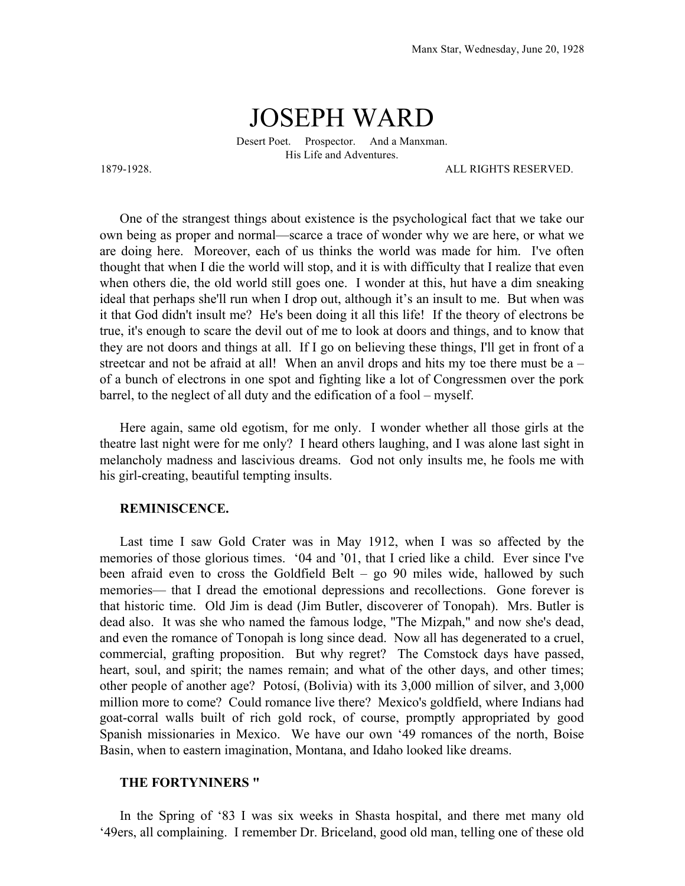## JOSEPH WARD

Desert Poet. Prospector. And a Manxman. His Life and Adventures.

1879-1928. ALL RIGHTS RESERVED.

One of the strangest things about existence is the psychological fact that we take our own being as proper and normal—scarce a trace of wonder why we are here, or what we are doing here. Moreover, each of us thinks the world was made for him. I've often thought that when I die the world will stop, and it is with difficulty that I realize that even when others die, the old world still goes one. I wonder at this, hut have a dim sneaking ideal that perhaps she'll run when I drop out, although it's an insult to me. But when was it that God didn't insult me? He's been doing it all this life! If the theory of electrons be true, it's enough to scare the devil out of me to look at doors and things, and to know that they are not doors and things at all. If I go on believing these things, I'll get in front of a streetcar and not be afraid at all! When an anvil drops and hits my toe there must be a – of a bunch of electrons in one spot and fighting like a lot of Congressmen over the pork barrel, to the neglect of all duty and the edification of a fool – myself.

Here again, same old egotism, for me only. I wonder whether all those girls at the theatre last night were for me only? I heard others laughing, and I was alone last sight in melancholy madness and lascivious dreams. God not only insults me, he fools me with his girl-creating, beautiful tempting insults.

## **REMINISCENCE.**

Last time I saw Gold Crater was in May 1912, when I was so affected by the memories of those glorious times. '04 and '01, that I cried like a child. Ever since I've been afraid even to cross the Goldfield Belt – go 90 miles wide, hallowed by such memories— that I dread the emotional depressions and recollections. Gone forever is that historic time. Old Jim is dead (Jim Butler, discoverer of Tonopah). Mrs. Butler is dead also. It was she who named the famous lodge, "The Mizpah," and now she's dead, and even the romance of Tonopah is long since dead. Now all has degenerated to a cruel, commercial, grafting proposition. But why regret? The Comstock days have passed, heart, soul, and spirit; the names remain; and what of the other days, and other times; other people of another age? Potosí, (Bolivia) with its 3,000 million of silver, and 3,000 million more to come? Could romance live there? Mexico's goldfield, where Indians had goat-corral walls built of rich gold rock, of course, promptly appropriated by good Spanish missionaries in Mexico. We have our own '49 romances of the north, Boise Basin, when to eastern imagination, Montana, and Idaho looked like dreams.

## **THE FORTYNINERS "**

In the Spring of '83 I was six weeks in Shasta hospital, and there met many old '49ers, all complaining. I remember Dr. Briceland, good old man, telling one of these old